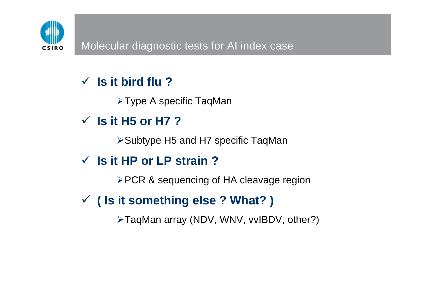

# **√** Is it bird flu ?

 $\triangleright$ Type A specific TaqMan

# 9 **Is it H5 or H7 ?**

¾Subtype H5 and H7 specific TaqMan

### 9 **Is it HP or LP strain ?**

¾PCR & sequencing of HA cleavage region

### 9 **( Is it something else ? What? )**

¾TaqMan array (NDV, WNV, vvIBDV, other?)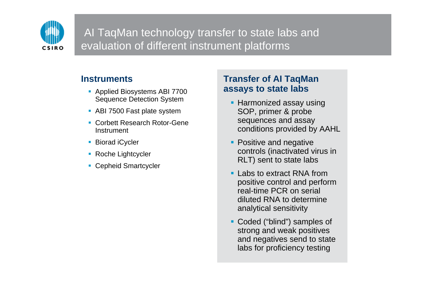

#### AI TaqMan technology transfer to state labs and evaluation of different instrument platforms

#### **Instruments**

- Applied Biosystems ABI 7700 Sequence Detection System
- ABI 7500 Fast plate system
- Corbett Research Rotor-Gene Instrument
- Biorad iCycler
- Roche Lightcycler
- **Cepheid Smartcycler**

#### **Transfer of AI TaqMan assays to state labs**

- Harmonized assay using SOP, primer & probe sequences and assay conditions provided by AAHL
- **Positive and negative** controls (inactivated virus in RLT) sent to state labs
- **Labs to extract RNA from** positive control and perform real-time PCR on serial diluted RNA to determine analytical sensitivity
- Coded ("blind") samples of strong and weak positives and negatives send to state labs for proficiency testing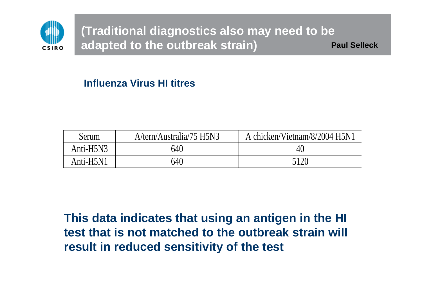

**(Traditional diagnostics also may need to be adapted to the outbreak strain) The Convention Paul Selleck** 

#### **Influenza Virus HI titres**

| Serum     | A/tern/Australia/75 H5N3 | A chicken/Vietnam/8/2004 H5N1 |
|-----------|--------------------------|-------------------------------|
| Anti-H5N3 | 640                      | 40                            |
| Anti-H5N1 | 640                      | 5120                          |

**This data indicates that using an antigen in the HI test that is not matched to the outbreak strain will result in reduced sensitivity of the test**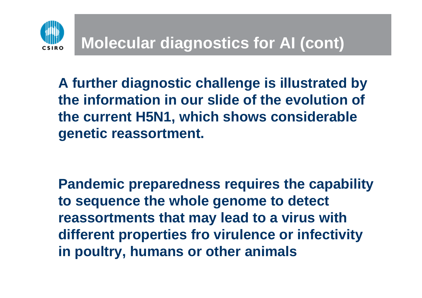

**A further diagnostic challenge is illustrated by the information in our slide of the evolution of the current H5N1, which shows considerable genetic reassortment.**

**Pandemic preparedness requires the capability to sequence the whole genome to detect reassortments that may lead to a virus with different properties fro virulence or infectivity in poultry, humans or other animals**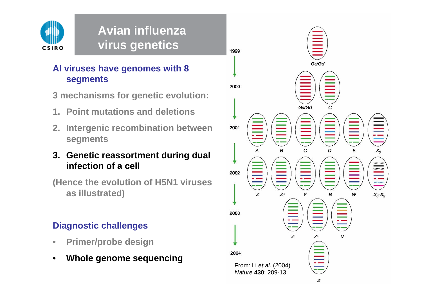

### **Avian influenza virus genetics**

#### **AI viruses have genomes with 8 segments**

**3 mechanisms for genetic evolution:**

- **1.Point mutations and deletions**
- **2. Intergenic recombination between segments**
- **3. Genetic reassortment during dual infection of a cell**

**(Hence the evolution of H5N1 viruses as illustrated)**

#### **Diagnostic challenges**

- •**Primer/probe design**
- •**Whole genome sequencing**

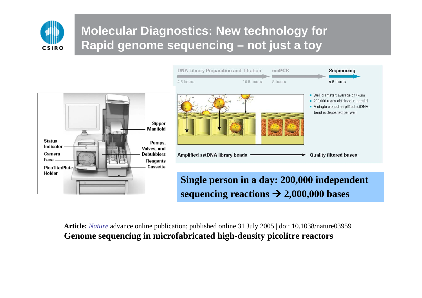

#### **Molecular Diagnostics: New technology for Rapid genome sequencing – not just a toy**



**Article:** *Nature* advance online publication; published online 31 July 2005 | doi: 10.1038/nature03959 **Genome sequencing in microfabricated high-density picolitre reactors**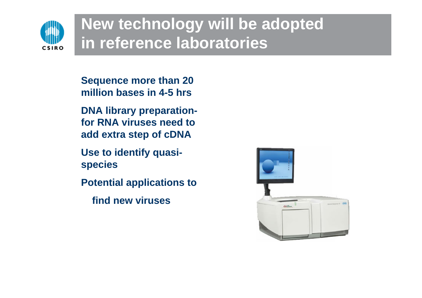

# **New technology will be adopted in reference laboratories**

**Sequence more than 20 million bases in 4-5 hrs**

**DNA library preparationfor RNA viruses need to add extra step of cDNA**

**Use to identify quasispecies**

**Potential applications to**

**find new viruses** 

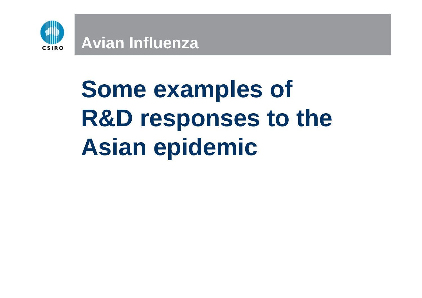

# **Some examples of R&D responses to the Asian epidemic**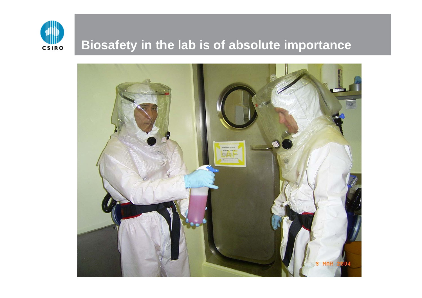

#### **Biosafety in the lab is of absolute importance**

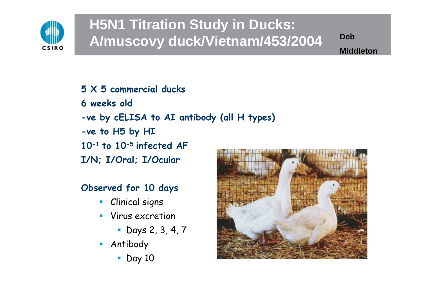

# **H5N1 Titration Study in Ducks: A/muscovy duck/Vietnam/453/2004**

**Deb Middleton**

- **5 X 5 commercial ducks**
- **6 weeks old**
- **-ve by cELISA to AI antibody (all H types)**
- **-ve t o H5 by HI**
- **10-1 to 10-5 infected AF**
- **I/N; I/Oral; I/Ocular**

#### **Observed for 10 days**

- $\overline{\phantom{a}}$ Clinical signs
- m. Virus excretio n
	- Days 2, 3, 4, 7
- **Antibody** 
	- **Day 10**

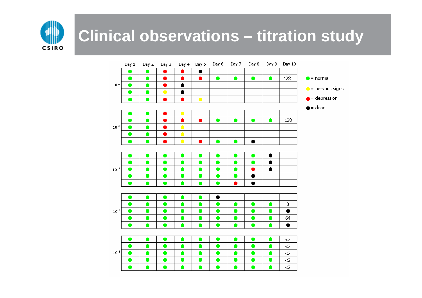

# **Clinical observations – titration study**

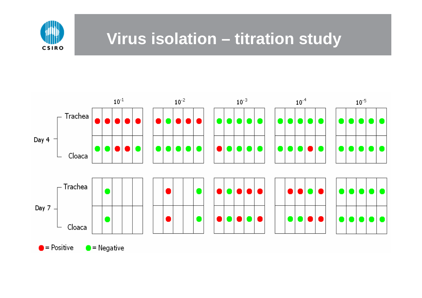

# **Virus isolation – titration study**

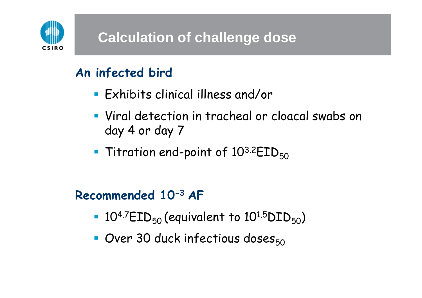

### **An infected bird**

- Exhibits clinical illness a nd/or
- Viral detection in tracheal or cloacal swabs on day 4 or day 7
- Titration end-point of  $10^{3.2}$ EID<sub>50</sub>

### **Recommended 10-3 AF**

- $\blacksquare$  10<sup>4.7</sup>EID<sub>50</sub> (equivalent to 10<sup>1.5</sup>DID<sub>50</sub>)
- $\blacksquare$  Over 30 duck infectious doses $_{50}$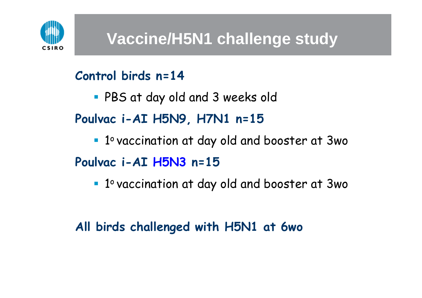

### Control birds n=14

PBS at day old and 3 weeks old

**Poulvac i-AI H5N9, H7N1 n=15**

**1º vaccination at day old and booster at 3wo** 

### **Poulvac i-AI H5N3 n=15**

**1º vaccination at day old and booster at 3wo** 

### **All birds challenged with H5N1 at 6wo**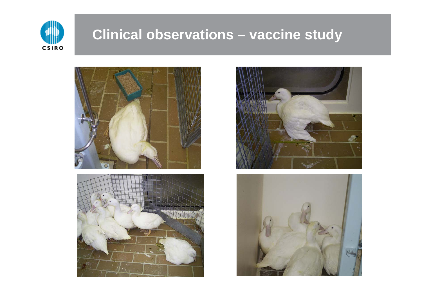

# **Clinical observations – vaccine study**







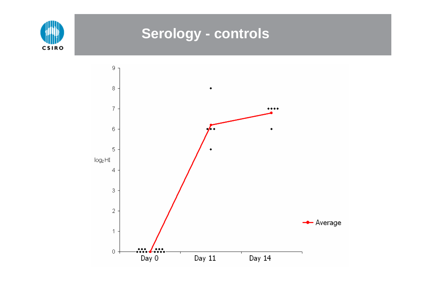

### **Serology - controls**

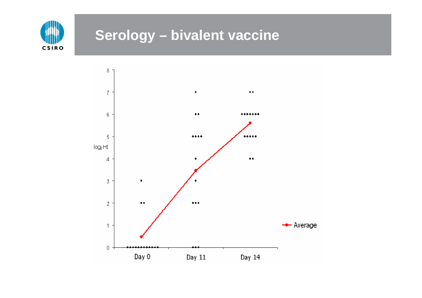

# **Serology – bivalent vaccine**

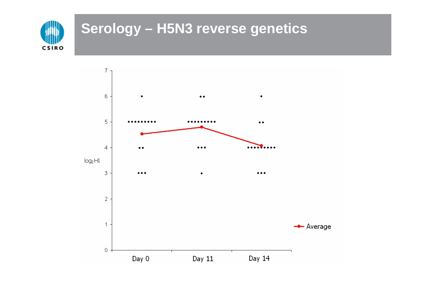

# **Serology – H5N3 reverse genetics**

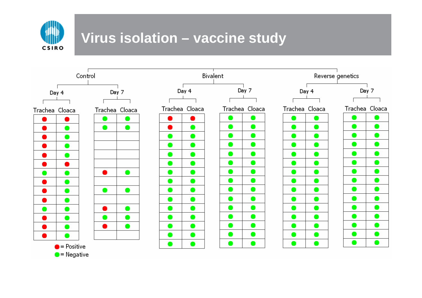

# **Virus isolation – vaccine study**

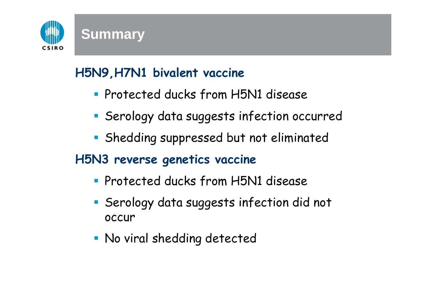

#### **Summary**

### **H5N9,H7N1 bivalent vaccine**

- **Protected ducks from H5N1 disease**
- Serology data suggests infection occurred
- Shedding suppressed but not eliminated

### **H5N3 reverse genetics vaccine**

- **Protected ducks from H5N1 disease**
- Serology data suggests infection did not occur
- No viral shedding detected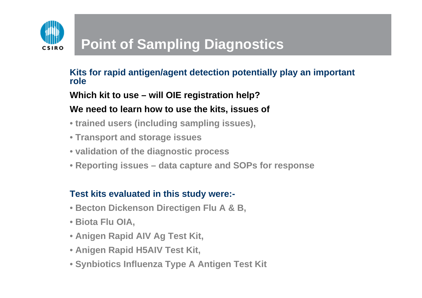

#### **Kits for rapid antigen/agent detection potentially play an important role**

#### **Which kit to use – will OIE r egistration help?**

#### **We need to learn how to use the kits, issues of**

- **trained users (including sampling issues),**
- **Transport and storage issues**
- **validation of the diagnostic process**
- **Reporting issues – data capture and SOPs for response**

#### **Test kits evaluated in this study were:-**

- **Becton Dickenson Directigen Flu A & B,**
- **Biota Flu OIA,**
- **Anigen Rapid AIV Ag Test Kit,**
- **Anigen Rapid H5AIV Test Kit,**
- **Synbiotics Influenza Type A Antigen Test Kit**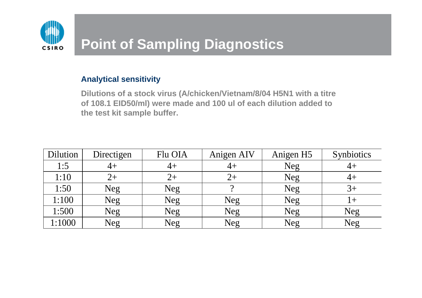

#### **Analytical sensitivity**

**Dilutions of a stock virus (A/chicken/Vietnam/8/04 H5N1 with a titre of 108.1 EID50/ml) wer e made and 100 ul of each dilution added to the test kit sample buf f er.**

| Dilution | Directigen | Flu OIA    | Anigen AIV | Anigen H5  | <b>Synbiotics</b> |
|----------|------------|------------|------------|------------|-------------------|
| 1:5      |            | $4+$       |            | <b>Neg</b> | 4+                |
| 1:10     | 2+         | 2+         | 2+         | <b>Neg</b> | 4+                |
| 1:50     | <b>Neg</b> | <b>Neg</b> |            | <b>Neg</b> | $3+$              |
| 1:100    | Neg        | <b>Neg</b> | Neg        | Neg        | $1 +$             |
| 1:500    | <b>Neg</b> | <b>Neg</b> | Neg        | <b>Neg</b> | Neg               |
| 1:1000   | Neg        | <b>Neg</b> | <b>Neg</b> | Neg        | Neg               |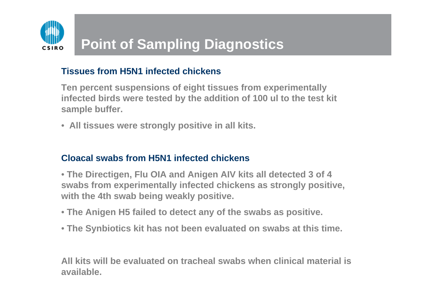

#### **Tissues from H5N1 infected chickens**

**Ten percent suspensions of eight tissues from experimentally infected birds were tested by the addition of 100 ul to the test kit sample buffer.** 

• **All tissues were strongly positive in all kits.**

#### **Cloacal swabs from H5N1 infected chickens**

• **The Directigen, Flu OIA and Anigen AIV kits all detected 3 of 4 swabs from experimentally infected chickens as strongly positive, with the 4th swab being weakly positive.** 

- **The Anigen H5 failed to detect any of the swabs as positive.**
- **The Synbiotics kit has not been evaluated on swabs at this time.**

**All kits will be evaluated on tracheal swabs when clinical material is available.**